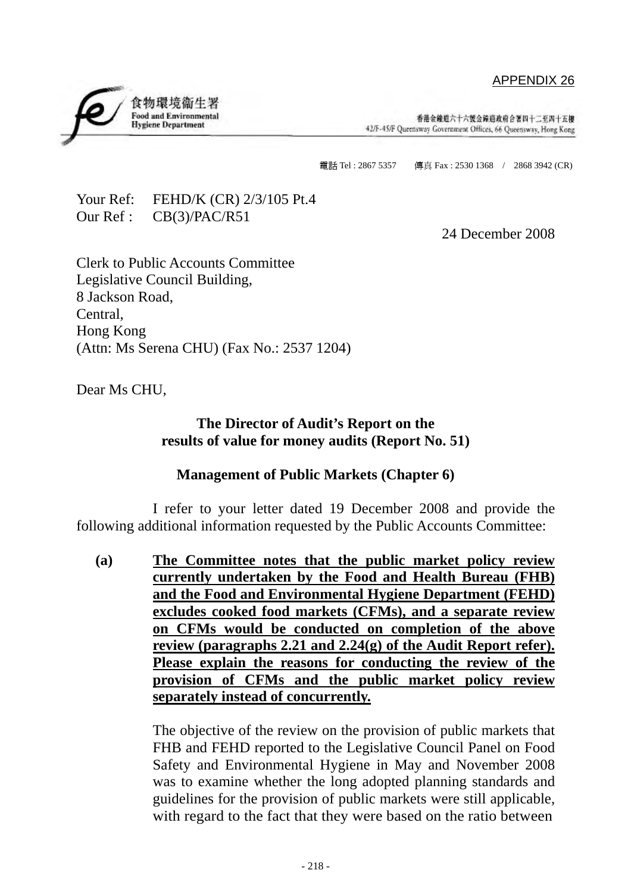## APPENDIX 26

香港会繪道六十六號会鐘道政府合著四十二至四十五樓 42/F-45/F Queensway Government Offices, 66 Queensway, Hong Kong

電話 Tel: 2867 5357 傳真 Fax: 2530 1368 / 2868 3942 (CR)

Your Ref: FEHD/K (CR) 2/3/105 Pt.4 Our Ref : CB(3)/PAC/R51

食物環境衛生署 **Food and Environmental** 

**Hygiene Department** 

24 December 2008

Clerk to Public Accounts Committee Legislative Council Building, 8 Jackson Road, Central, Hong Kong (Attn: Ms Serena CHU) (Fax No.: 2537 1204)

Dear Ms CHU,

## **The Director of Audit's Report on the results of value for money audits (Report No. 51)**

## **Management of Public Markets (Chapter 6)**

 I refer to your letter dated 19 December 2008 and provide the following additional information requested by the Public Accounts Committee:

**(a) The Committee notes that the public market policy review currently undertaken by the Food and Health Bureau (FHB) and the Food and Environmental Hygiene Department (FEHD) excludes cooked food markets (CFMs), and a separate review on CFMs would be conducted on completion of the above review (paragraphs 2.21 and 2.24(g) of the Audit Report refer). Please explain the reasons for conducting the review of the provision of CFMs and the public market policy review separately instead of concurrently.**

> The objective of the review on the provision of public markets that FHB and FEHD reported to the Legislative Council Panel on Food Safety and Environmental Hygiene in May and November 2008 was to examine whether the long adopted planning standards and guidelines for the provision of public markets were still applicable, with regard to the fact that they were based on the ratio between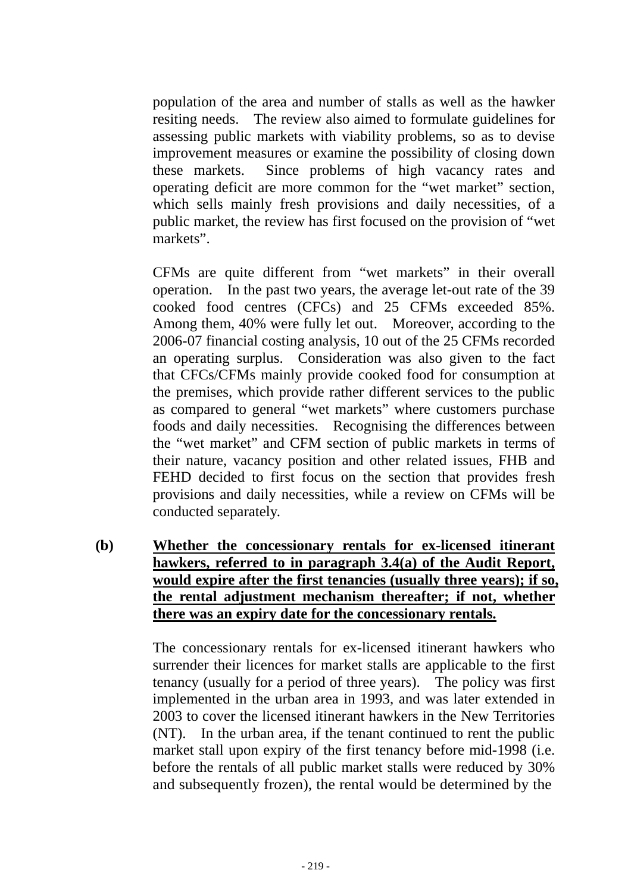population of the area and number of stalls as well as the hawker resiting needs. The review also aimed to formulate guidelines for assessing public markets with viability problems, so as to devise improvement measures or examine the possibility of closing down these markets. Since problems of high vacancy rates and operating deficit are more common for the "wet market" section, which sells mainly fresh provisions and daily necessities, of a public market, the review has first focused on the provision of "wet markets".

CFMs are quite different from "wet markets" in their overall operation. In the past two years, the average let-out rate of the 39 cooked food centres (CFCs) and 25 CFMs exceeded 85%. Among them, 40% were fully let out. Moreover, according to the 2006-07 financial costing analysis, 10 out of the 25 CFMs recorded an operating surplus. Consideration was also given to the fact that CFCs/CFMs mainly provide cooked food for consumption at the premises, which provide rather different services to the public as compared to general "wet markets" where customers purchase foods and daily necessities. Recognising the differences between the "wet market" and CFM section of public markets in terms of their nature, vacancy position and other related issues, FHB and FEHD decided to first focus on the section that provides fresh provisions and daily necessities, while a review on CFMs will be conducted separately.

**(b) Whether the concessionary rentals for ex-licensed itinerant hawkers, referred to in paragraph 3.4(a) of the Audit Report, would expire after the first tenancies (usually three years); if so, the rental adjustment mechanism thereafter; if not, whether there was an expiry date for the concessionary rentals.**

> The concessionary rentals for ex-licensed itinerant hawkers who surrender their licences for market stalls are applicable to the first tenancy (usually for a period of three years). The policy was first implemented in the urban area in 1993, and was later extended in 2003 to cover the licensed itinerant hawkers in the New Territories (NT). In the urban area, if the tenant continued to rent the public market stall upon expiry of the first tenancy before mid-1998 (i.e. before the rentals of all public market stalls were reduced by 30% and subsequently frozen), the rental would be determined by the